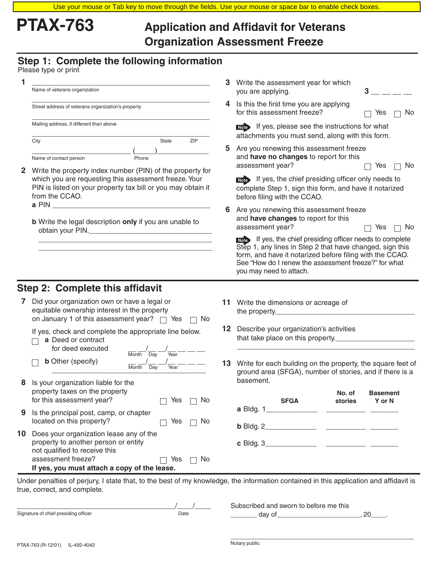# **PTAX-763 Application and Affidavit for Veterans Organization Assessment Freeze**

# **Step 1: Complete the following information**

Please type or print

| Name of veterans organization                      |       |     |
|----------------------------------------------------|-------|-----|
| Street address of veterans organization's property |       |     |
| Mailing address, if different than above           |       |     |
| City                                               | State | 7IP |
|                                                    |       |     |
|                                                    |       |     |

- **2** Write the property index number (PIN) of the property for which you are requesting this assessment freeze. Your PIN is listed on your property tax bill or you may obtain it from the CCAO. **a** PIN
	- **b** Write the legal description **only** if you are unable to obtain your PIN.

\_\_\_\_\_\_\_\_\_\_\_\_\_\_\_\_\_\_\_\_\_\_\_\_\_\_\_\_\_\_\_\_\_\_\_\_\_\_\_\_\_\_\_\_ \_\_\_\_\_\_\_\_\_\_\_\_\_\_\_\_\_\_\_\_\_\_\_\_\_\_\_\_\_\_\_\_\_\_\_\_\_\_\_\_\_\_\_\_

| 3. | Write the assessment year for which<br>you are applying.                                                                                            | 3         |
|----|-----------------------------------------------------------------------------------------------------------------------------------------------------|-----------|
| 4  | Is this the first time you are applying<br>for this assessment freeze?                                                                              | Yes<br>No |
|    | If yes, please see the instructions for what<br>Note<br>attachments you must send, along with this form.                                            |           |
| 5. | Are you renewing this assessment freeze<br>and <b>have no changes</b> to report for this<br>assessment year?                                        | No<br>Yes |
|    | If yes, the chief presiding officer only needs to<br>Note<br>complete Step 1, sign this form, and have it notarized<br>before filing with the CCAO. |           |
| 6  | Are you renewing this assessment freeze<br>and have changes to report for this<br>assessment year?                                                  | Yes<br>No |
|    | A if you the shiel sussidian effices seeds to complete                                                                                              |           |

Note If yes, the chief presiding officer needs to complete Step 1, any lines in Step 2 that have changed, sign this form, and have it notarized before filing with the CCAO. See "How do I renew the assessment freeze?" for what you may need to attach.

# **Step 2: Complete this affidavit**

| <b>7</b> Did your organization own or have a legal or      |  |
|------------------------------------------------------------|--|
| equitable ownership interest in the property               |  |
| on January 1 of this assessment year? $\Box$ Yes $\Box$ No |  |

If yes, check and complete the appropriate line below.

**a** Deed or contract for deed executed  $\underline{\qquad}$   $\underline{\qquad}$   $\qquad \underline{\qquad}$   $\qquad \underline{\qquad}$   $\qquad \underline{\qquad}$  $\Box$  **b** Other (specify)

| Other (specify)<br>Month Day<br>Year | Month Day | Year |  |
|--------------------------------------|-----------|------|--|
|                                      |           |      |  |

- **8** Is your organization liable for the property taxes on the property for this assessment year?  $\Box$  Yes  $\Box$  No
- **9** Is the principal post, camp, or chapter  $located on this property?$   $\Box$  Yes  $\Box$  No
- **10** Does your organization lease any of the property to another person or entity not qualified to receive this assessment freeze?  $\Box$  Yes  $\Box$  No **If yes, you must attach a copy of the lease.**
- **11** Write the dimensions or acreage of the property.
- **12** Describe your organization's activities that take place on this property.
- **13** Write for each building on the property, the square feet of ground area (SFGA), number of stories, and if there is a basement.

\_\_\_\_\_\_\_\_\_\_\_\_\_\_\_\_\_\_\_\_\_\_\_\_\_\_\_\_\_\_\_\_\_\_\_\_\_\_\_\_\_\_\_\_\_

| <b>SFGA</b>                     | No. of<br>stories | <b>Basement</b><br>Y or N |
|---------------------------------|-------------------|---------------------------|
| <b>a</b> Bldg. 1_______________ |                   |                           |
| <b>b</b> Bldg. $2$              |                   |                           |
| <b>c</b> Bldg. 3                |                   |                           |
|                                 |                   |                           |

Under penalties of perjury, I state that, to the best of my knowledge, the information contained in this application and affidavit is true, correct, and complete.

|                                      |           | Subscribed and sworn to before me this |    |
|--------------------------------------|-----------|----------------------------------------|----|
| Signature of chief presiding officer | Date<br>. | Ωt<br>uav                              | n, |